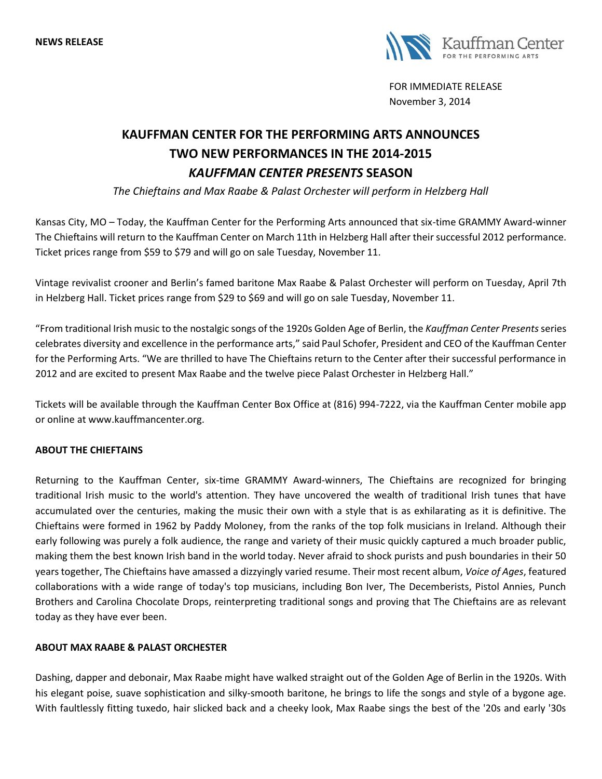

FOR IMMEDIATE RELEASE November 3, 2014

## **KAUFFMAN CENTER FOR THE PERFORMING ARTS ANNOUNCES TWO NEW PERFORMANCES IN THE 2014-2015** *KAUFFMAN CENTER PRESENTS* **SEASON**

*The Chieftains and Max Raabe & Palast Orchester will perform in Helzberg Hall*

Kansas City, MO – Today, the Kauffman Center for the Performing Arts announced that six-time GRAMMY Award-winner The Chieftains will return to the Kauffman Center on March 11th in Helzberg Hall after their successful 2012 performance. Ticket prices range from \$59 to \$79 and will go on sale Tuesday, November 11.

Vintage revivalist crooner and Berlin's famed baritone Max Raabe & Palast Orchester will perform on Tuesday, April 7th in Helzberg Hall. Ticket prices range from \$29 to \$69 and will go on sale Tuesday, November 11.

"From traditional Irish music to the nostalgic songs of the 1920s Golden Age of Berlin, the *Kauffman Center Presents*series celebrates diversity and excellence in the performance arts," said Paul Schofer, President and CEO of the Kauffman Center for the Performing Arts. "We are thrilled to have The Chieftains return to the Center after their successful performance in 2012 and are excited to present Max Raabe and the twelve piece Palast Orchester in Helzberg Hall."

Tickets will be available through the Kauffman Center Box Office at (816) 994-7222, via the Kauffman Center mobile app or online at www.kauffmancenter.org.

## **ABOUT THE CHIEFTAINS**

Returning to the Kauffman Center, six-time GRAMMY Award-winners, The Chieftains are recognized for bringing traditional Irish music to the world's attention. They have uncovered the wealth of traditional Irish tunes that have accumulated over the centuries, making the music their own with a style that is as exhilarating as it is definitive. The Chieftains were formed in 1962 by Paddy Moloney, from the ranks of the top folk musicians in Ireland. Although their early following was purely a folk audience, the range and variety of their music quickly captured a much broader public, making them the best known Irish band in the world today. Never afraid to shock purists and push boundaries in their 50 years together, The Chieftains have amassed a dizzyingly varied resume. Their most recent album, *Voice of Ages*, featured collaborations with a wide range of today's top musicians, including Bon Iver, The Decemberists, Pistol Annies, Punch Brothers and Carolina Chocolate Drops, reinterpreting traditional songs and proving that The Chieftains are as relevant today as they have ever been.

## **ABOUT MAX RAABE & PALAST ORCHESTER**

Dashing, dapper and debonair, Max Raabe might have walked straight out of the Golden Age of Berlin in the 1920s. With his elegant poise, suave sophistication and silky-smooth baritone, he brings to life the songs and style of a bygone age. With faultlessly fitting tuxedo, hair slicked back and a cheeky look, Max Raabe sings the best of the '20s and early '30s